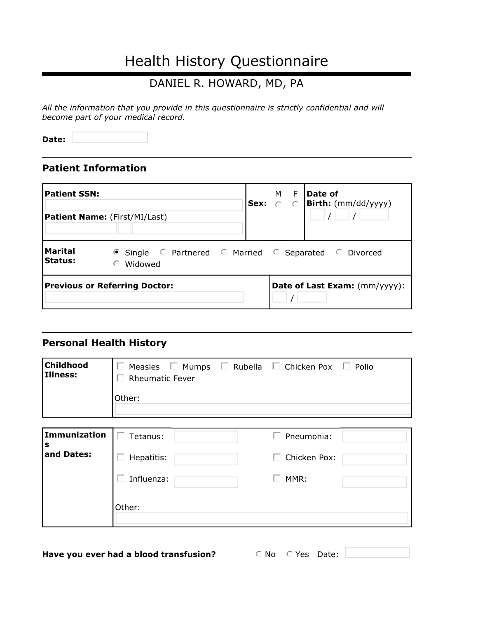# Health History Questionnaire

#### DANIEL R. HOWARD, MD, PA

*All the information that you provide in this questionnaire is strictly confidential and will become part of your medical record.*

**Date:**

#### **Patient Information**

| <b>Patient SSN:</b>              | <b>Patient Name:</b> (First/MI/Last)                                        | Sex: 0 | F<br>M l<br>$\circ$ | Date of<br><b>Birth:</b> (mm/dd/yyyy) |
|----------------------------------|-----------------------------------------------------------------------------|--------|---------------------|---------------------------------------|
| <b>Marital</b><br><b>Status:</b> | ● Single © Partnered © Married © Separated © Divorced<br>Widowed<br>$\odot$ |        |                     |                                       |
|                                  | <b>Previous or Referring Doctor:</b>                                        |        |                     | Date of Last Exam: (mm/yyyy):         |

#### **Personal Health History**

| Childhood<br>Illness:            | Measles $\Box$ Mumps $\Box$ Rubella $\Box$ Chicken Pox $\Box$ Polio<br>$\mathbf{L}$<br><b>Rheumatic Fever</b><br>Other: |                                                                |  |
|----------------------------------|-------------------------------------------------------------------------------------------------------------------------|----------------------------------------------------------------|--|
| Immunization<br>IS<br>and Dates: | Tetanus:<br>$\Box$<br>Hepatitis:<br>Influenza:                                                                          | $\Box$ Pneumonia:<br>Chicken Pox:<br>$\mathbf{L}$<br>MMR:<br>L |  |
|                                  | Other:                                                                                                                  |                                                                |  |

**Have you ever had a blood transfusion?** 

 $\circ$  No  $\circ$  Yes Date: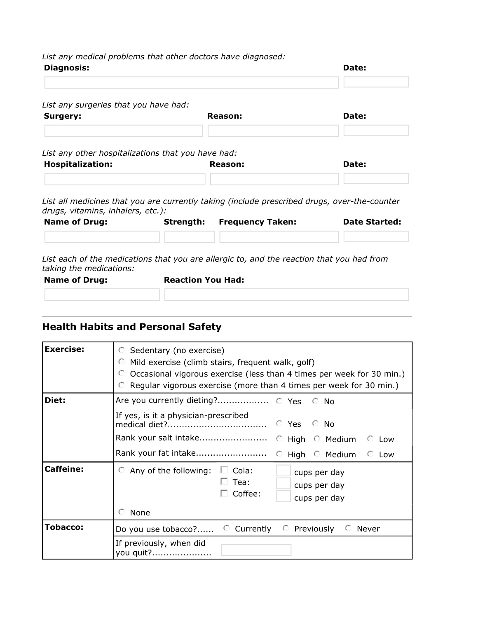*List any medical problems that other doctors have diagnosed:*

| <b>Diagnosis:</b>                                  |                          |                                                                                              | Date:                |
|----------------------------------------------------|--------------------------|----------------------------------------------------------------------------------------------|----------------------|
| List any surgeries that you have had:              |                          |                                                                                              |                      |
| Surgery:                                           |                          | Reason:                                                                                      | Date:                |
| List any other hospitalizations that you have had: |                          |                                                                                              |                      |
| <b>Hospitalization:</b>                            |                          | Reason:                                                                                      | Date:                |
| drugs, vitamins, inhalers, etc.):                  |                          | List all medicines that you are currently taking (include prescribed drugs, over-the-counter |                      |
| <b>Name of Drug:</b>                               | Strength:                | <b>Frequency Taken:</b>                                                                      | <b>Date Started:</b> |
| taking the medications:                            |                          | List each of the medications that you are allergic to, and the reaction that you had from    |                      |
| <b>Name of Drug:</b>                               | <b>Reaction You Had:</b> |                                                                                              |                      |

## **Health Habits and Personal Safety**

| <b>Exercise:</b> | Sedentary (no exercise)<br>⊙<br>Mild exercise (climb stairs, frequent walk, golf)<br>$\odot$<br>Occasional vigorous exercise (less than 4 times per week for 30 min.)<br>$\odot$<br>Regular vigorous exercise (more than 4 times per week for 30 min.) |
|------------------|--------------------------------------------------------------------------------------------------------------------------------------------------------------------------------------------------------------------------------------------------------|
| Diet:            | $\odot$ No<br>If yes, is it a physician-prescribed<br>© Yes<br>© No<br>Rank your salt intake<br>$\circ$ High $\circ$ Medium<br>Low<br>⊙<br>$\circ$ High $\circ$ Medium<br>Low<br>⊙                                                                     |
| <b>Caffeine:</b> | $\circ$ Any of the following:<br>$\Box$ Cola:<br>cups per day<br>Tea:<br>cups per day<br>Coffee:<br>cups per day<br>None                                                                                                                               |
| <b>Tobacco:</b>  | © Currently<br>$\odot$<br>Previously<br>Never<br>Do you use tobacco?<br>If previously, when did<br>you quit?                                                                                                                                           |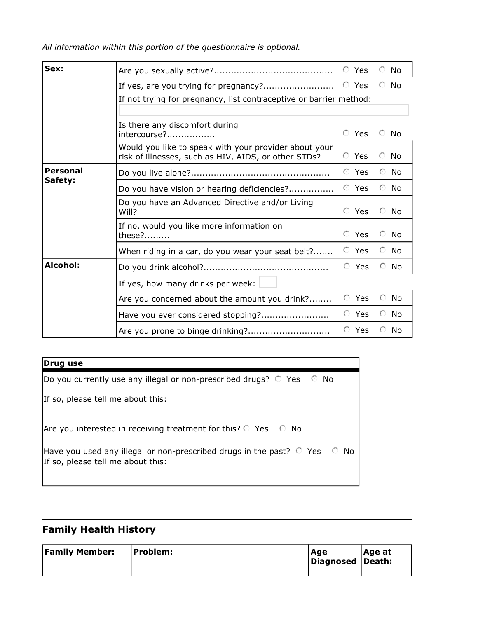*All information within this portion of the questionnaire is optional.*

| Sex:                                                     |                                                                                                               |  | © Yes       |         | $\odot$ No |
|----------------------------------------------------------|---------------------------------------------------------------------------------------------------------------|--|-------------|---------|------------|
|                                                          |                                                                                                               |  |             |         | $\odot$ No |
|                                                          | If not trying for pregnancy, list contraceptive or barrier method:                                            |  |             |         |            |
|                                                          |                                                                                                               |  |             |         |            |
|                                                          | Is there any discomfort during                                                                                |  | $\odot$ Yes | $\odot$ | - No       |
|                                                          | Would you like to speak with your provider about your<br>risk of illnesses, such as HIV, AIDS, or other STDs? |  | © Yes       | $\odot$ | No         |
| <b>Personal</b>                                          |                                                                                                               |  | © Yes       |         | $\odot$ No |
| Safety:                                                  | Do you have vision or hearing deficiencies?                                                                   |  | © Yes       |         | $\odot$ No |
| Do you have an Advanced Directive and/or Living<br>Will? |                                                                                                               |  | $\odot$ Yes | $\odot$ | No         |
|                                                          | If no, would you like more information on<br>$these?$                                                         |  | © Yes       | $\odot$ | No         |
|                                                          | When riding in a car, do you wear your seat belt?                                                             |  | © Yes       |         | $\odot$ No |
| Alcohol:                                                 |                                                                                                               |  | © Yes       | $\odot$ | No.        |
|                                                          | If yes, how many drinks per week:                                                                             |  |             |         |            |
|                                                          | Are you concerned about the amount you drink?                                                                 |  | $\odot$ Yes | $\odot$ | No         |
|                                                          | Have you ever considered stopping?                                                                            |  | © Yes       |         | $\odot$ No |
|                                                          |                                                                                                               |  | © Yes       | ⊙       | No         |

#### **Drug use**

| [Do you currently use any illegal or non-prescribed drugs? $\circ$ Yes $\circ$ No                                          |  |
|----------------------------------------------------------------------------------------------------------------------------|--|
| If so, please tell me about this:                                                                                          |  |
| Are you interested in receiving treatment for this? $\circ$ Yes $\circ$ No                                                 |  |
| Have you used any illegal or non-prescribed drugs in the past? $\circ$ Yes $\circ$ No<br>If so, please tell me about this: |  |

## **Family Health History**

| <b>Family Member:</b> | <b>Problem:</b> | Age<br>Diagnosed Death: | Age at |
|-----------------------|-----------------|-------------------------|--------|
|                       |                 |                         |        |